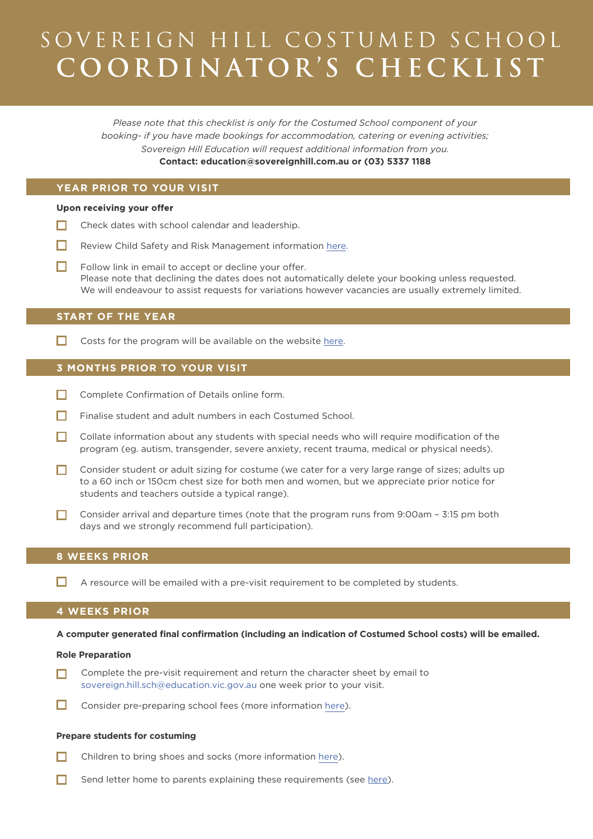# SOVEREIGN HILL COSTUMED SCHOOL **C O O R D I N AT O R 'S CHECK L I S T**

*Please note that this checklist is only for the Costumed School component of your booking- if you have made bookings for accommodation, catering or evening activities; Sovereign Hill Education will request additional information from you.* **Contact: education@sovereignhill.com.au or (03) 5337 1188**

# **YEAR PRIOR TO YOUR VISIT**

## Upon receiving your offer

- $\Box$  Check dates with school calendar and leadership.
- $\Box$ Review Child Safety and Risk Management information [here.](https://sovereignhill.com.au/child-protection-and-safety)
- $\Box$ Follow link in email to accept or decline your offer. Please note that declining the dates does not automatically delete your booking unless requested. We will endeavour to assist requests for variations however vacancies are usually extremely limited.

# **START OF THE YEAR**

 $\Box$ Costs for the program will be available on the website [here.](https://sovereignhill.com.au/school-administration)

# **3 MONTHS PRIOR TO YOUR VISIT**

- $\Box$  Complete Confirmation of Details online form.
- П. Finalise student and adult numbers in each Costumed School.
- $\Box$  Collate information about any students with special needs who will require modification of the program (eg. autism, transgender, severe anxiety, recent trauma, medical or physical needs).
- $\Box$  Consider student or adult sizing for costume (we cater for a very large range of sizes; adults up to a 60 inch or 150cm chest size for both men and women, but we appreciate prior notice for students and teachers outside a typical range).
- Consider arrival and departure times (note that the program runs from 9:00am 3:15 pm both days and we strongly recommend full participation).

## **8 WEEKS PRIOR**

 $\Box$  A resource will be emailed with a pre-visit requirement to be completed by students.

## **4 WEEKS PRIOR**

**A computer generated final confirmation (including an indication of Costumed School costs) will be emailed.**

#### **Role Preparation**

- Complete the pre-visit requirement and return the character sheet by email to П [sovereign.hill.sch@education.vic.gov.au](mailto:sovereign.hill.sch@education.vic.gov.au) one week prior to your visit.
- Consider pre-preparing school fees (more information [here\)](https://sovereignhill.com.au/preparing-for-costumed-school).

## **Prepare students for costuming**

- П. Children to bring shoes and socks (more information [here\)](https://sovereignhill.com.au/costume).
- П. Send letter home to parents explaining these requirements (see [here\)](https://sovereignhill.com.au/uploads/resources/SH-Costume-School-Parents-Letter.pdf).